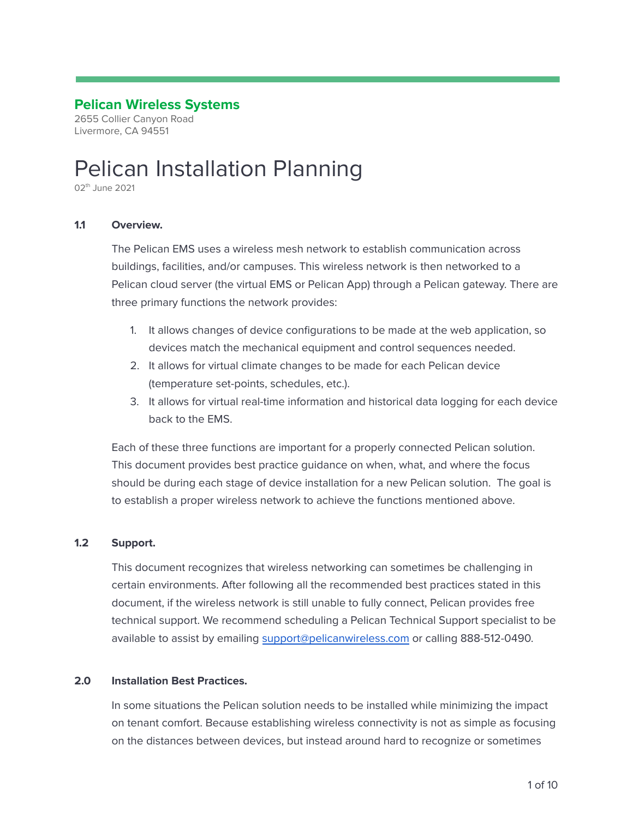# **Pelican Wireless Systems**

2655 Collier Canyon Road Livermore, CA 94551

# Pelican Installation Planning

02<sup>th</sup> June 2021

#### **1.1 Overview.**

The Pelican EMS uses a wireless mesh network to establish communication across buildings, facilities, and/or campuses. This wireless network is then networked to a Pelican cloud server (the virtual EMS or Pelican App) through a Pelican gateway. There are three primary functions the network provides:

- 1. It allows changes of device configurations to be made at the web application, so devices match the mechanical equipment and control sequences needed.
- 2. It allows for virtual climate changes to be made for each Pelican device (temperature set-points, schedules, etc.).
- 3. It allows for virtual real-time information and historical data logging for each device back to the EMS.

Each of these three functions are important for a properly connected Pelican solution. This document provides best practice guidance on when, what, and where the focus should be during each stage of device installation for a new Pelican solution. The goal is to establish a proper wireless network to achieve the functions mentioned above.

# **1.2 Support.**

This document recognizes that wireless networking can sometimes be challenging in certain environments. After following all the recommended best practices stated in this document, if the wireless network is still unable to fully connect, Pelican provides free technical support. We recommend scheduling a Pelican Technical Support specialist to be available to assist by emailing [support@pelicanwireless.com](mailto:support@pelicanwireless.com) or calling 888-512-0490.

#### **2.0 Installation Best Practices.**

In some situations the Pelican solution needs to be installed while minimizing the impact on tenant comfort. Because establishing wireless connectivity is not as simple as focusing on the distances between devices, but instead around hard to recognize or sometimes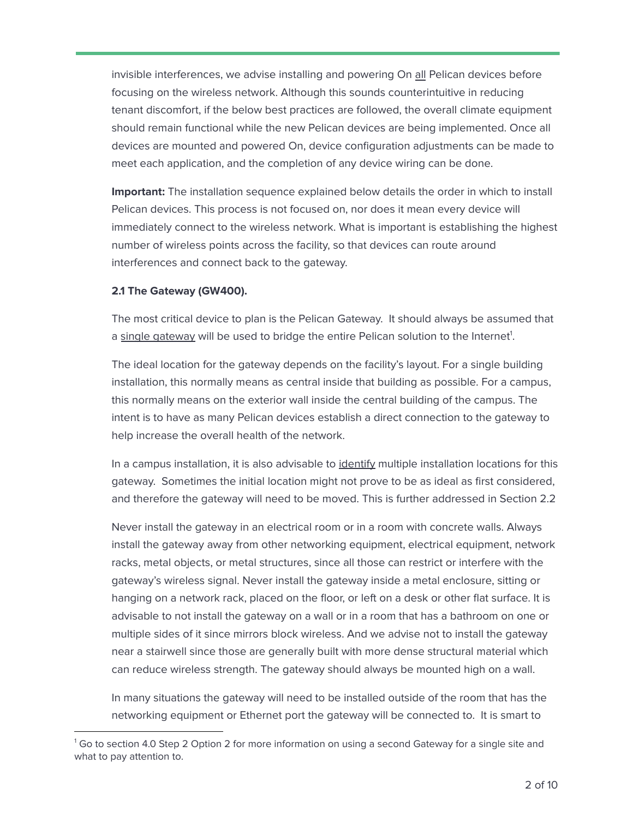invisible interferences, we advise installing and powering On all Pelican devices before focusing on the wireless network. Although this sounds counterintuitive in reducing tenant discomfort, if the below best practices are followed, the overall climate equipment should remain functional while the new Pelican devices are being implemented. Once all devices are mounted and powered On, device configuration adjustments can be made to meet each application, and the completion of any device wiring can be done.

**Important:** The installation sequence explained below details the order in which to install Pelican devices. This process is not focused on, nor does it mean every device will immediately connect to the wireless network. What is important is establishing the highest number of wireless points across the facility, so that devices can route around interferences and connect back to the gateway.

#### **2.1 The Gateway (GW400).**

The most critical device to plan is the Pelican Gateway. It should always be assumed that a single gateway will be used to bridge the entire Pelican solution to the Internet<sup>1</sup>.

The ideal location for the gateway depends on the facility's layout. For a single building installation, this normally means as central inside that building as possible. For a campus, this normally means on the exterior wall inside the central building of the campus. The intent is to have as many Pelican devices establish a direct connection to the gateway to help increase the overall health of the network.

In a campus installation, it is also advisable to identify multiple installation locations for this gateway. Sometimes the initial location might not prove to be as ideal as first considered, and therefore the gateway will need to be moved. This is further addressed in Section 2.2

Never install the gateway in an electrical room or in a room with concrete walls. Always install the gateway away from other networking equipment, electrical equipment, network racks, metal objects, or metal structures, since all those can restrict or interfere with the gateway's wireless signal. Never install the gateway inside a metal enclosure, sitting or hanging on a network rack, placed on the floor, or left on a desk or other flat surface. It is advisable to not install the gateway on a wall or in a room that has a bathroom on one or multiple sides of it since mirrors block wireless. And we advise not to install the gateway near a stairwell since those are generally built with more dense structural material which can reduce wireless strength. The gateway should always be mounted high on a wall.

In many situations the gateway will need to be installed outside of the room that has the networking equipment or Ethernet port the gateway will be connected to. It is smart to

 $1$  Go to section 4.0 Step 2 Option 2 for more information on using a second Gateway for a single site and what to pay attention to.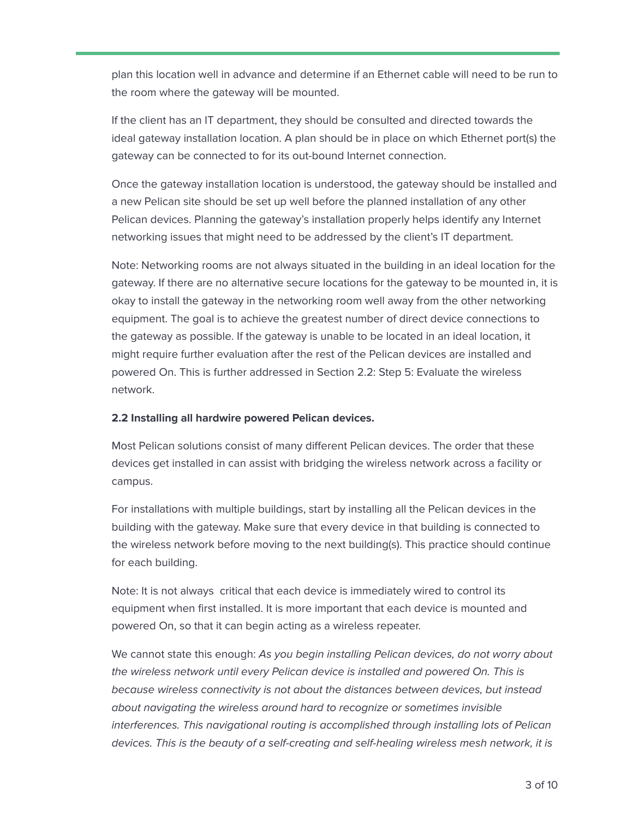plan this location well in advance and determine if an Ethernet cable will need to be run to the room where the gateway will be mounted.

If the client has an IT department, they should be consulted and directed towards the ideal gateway installation location. A plan should be in place on which Ethernet port(s) the gateway can be connected to for its out-bound Internet connection.

Once the gateway installation location is understood, the gateway should be installed and a new Pelican site should be set up well before the planned installation of any other Pelican devices. Planning the gateway's installation properly helps identify any Internet networking issues that might need to be addressed by the client's IT department.

Note: Networking rooms are not always situated in the building in an ideal location for the gateway. If there are no alternative secure locations for the gateway to be mounted in, it is okay to install the gateway in the networking room well away from the other networking equipment. The goal is to achieve the greatest number of direct device connections to the gateway as possible. If the gateway is unable to be located in an ideal location, it might require further evaluation after the rest of the Pelican devices are installed and powered On. This is further addressed in Section 2.2: Step 5: Evaluate the wireless network.

# **2.2 Installing all hardwire powered Pelican devices.**

Most Pelican solutions consist of many different Pelican devices. The order that these devices get installed in can assist with bridging the wireless network across a facility or campus.

For installations with multiple buildings, start by installing all the Pelican devices in the building with the gateway. Make sure that every device in that building is connected to the wireless network before moving to the next building(s). This practice should continue for each building.

Note: It is not always critical that each device is immediately wired to control its equipment when first installed. It is more important that each device is mounted and powered On, so that it can begin acting as a wireless repeater.

We cannot state this enough: As you begin installing Pelican devices, do not worry about the wireless network until every Pelican device is installed and powered On. This is because wireless connectivity is not about the distances between devices, but instead about navigating the wireless around hard to recognize or sometimes invisible interferences. This navigational routing is accomplished through installing lots of Pelican devices. This is the beauty of a self-creating and self-healing wireless mesh network, it is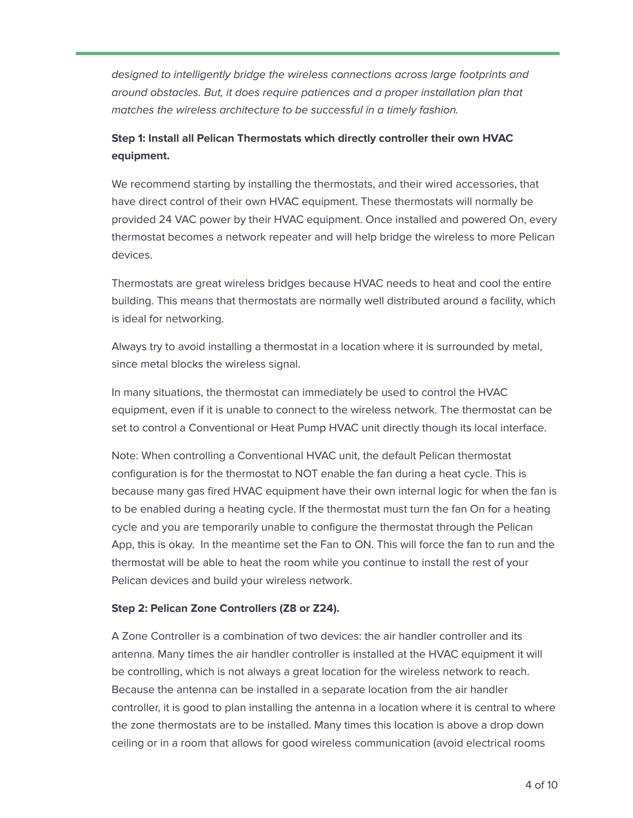designed to intelligently bridge the wireless connections across large footprints and around obstacles. But, it does require patiences and a proper installation plan that matches the wireless architecture to be successful in a timely fashion.

# **Step 1: Install all Pelican Thermostats which directly controller their own HVAC equipment.**

We recommend starting by installing the thermostats, and their wired accessories, that have direct control of their own HVAC equipment. These thermostats will normally be provided 24 VAC power by their HVAC equipment. Once installed and powered On, every thermostat becomes a network repeater and will help bridge the wireless to more Pelican devices.

Thermostats are great wireless bridges because HVAC needs to heat and cool the entire building. This means that thermostats are normally well distributed around a facility, which is ideal for networking.

Always try to avoid installing a thermostat in a location where it is surrounded by metal, since metal blocks the wireless signal.

In many situations, the thermostat can immediately be used to control the HVAC equipment, even if it is unable to connect to the wireless network. The thermostat can be set to control a Conventional or Heat Pump HVAC unit directly though its local interface.

Note: When controlling a Conventional HVAC unit, the default Pelican thermostat configuration is for the thermostat to NOT enable the fan during a heat cycle. This is because many gas fired HVAC equipment have their own internal logic for when the fan is to be enabled during a heating cycle. If the thermostat must turn the fan On for a heating cycle and you are temporarily unable to configure the thermostat through the Pelican App, this is okay. In the meantime set the Fan to ON. This will force the fan to run and the thermostat will be able to heat the room while you continue to install the rest of your Pelican devices and build your wireless network.

# **Step 2: Pelican Zone Controllers (Z8 or Z24).**

A Zone Controller is a combination of two devices: the air handler controller and its antenna. Many times the air handler controller is installed at the HVAC equipment it will be controlling, which is not always a great location for the wireless network to reach. Because the antenna can be installed in a separate location from the air handler controller, it is good to plan installing the antenna in a location where it is central to where the zone thermostats are to be installed. Many times this location is above a drop down ceiling or in a room that allows for good wireless communication (avoid electrical rooms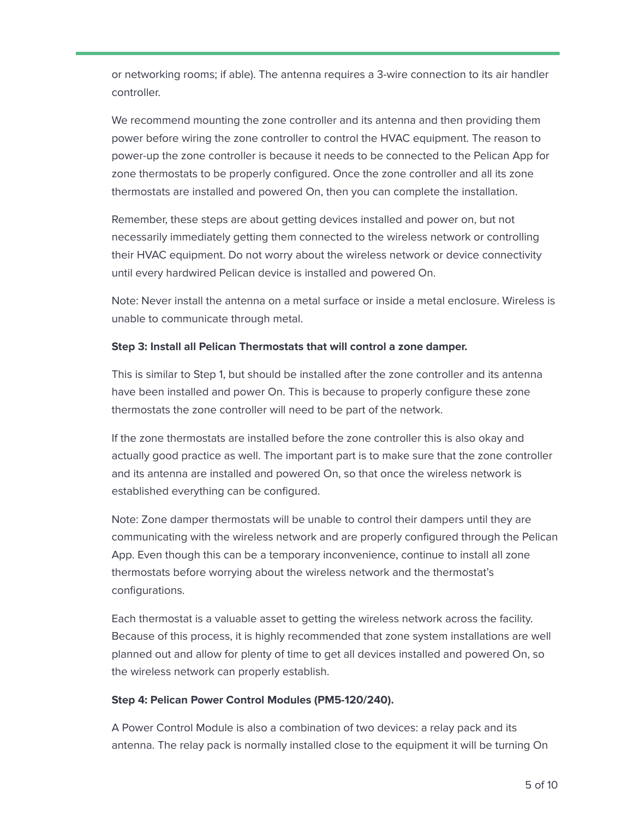or networking rooms; if able). The antenna requires a 3-wire connection to its air handler controller.

We recommend mounting the zone controller and its antenna and then providing them power before wiring the zone controller to control the HVAC equipment. The reason to power-up the zone controller is because it needs to be connected to the Pelican App for zone thermostats to be properly configured. Once the zone controller and all its zone thermostats are installed and powered On, then you can complete the installation.

Remember, these steps are about getting devices installed and power on, but not necessarily immediately getting them connected to the wireless network or controlling their HVAC equipment. Do not worry about the wireless network or device connectivity until every hardwired Pelican device is installed and powered On.

Note: Never install the antenna on a metal surface or inside a metal enclosure. Wireless is unable to communicate through metal.

# **Step 3: Install all Pelican Thermostats that will control a zone damper.**

This is similar to Step 1, but should be installed after the zone controller and its antenna have been installed and power On. This is because to properly configure these zone thermostats the zone controller will need to be part of the network.

If the zone thermostats are installed before the zone controller this is also okay and actually good practice as well. The important part is to make sure that the zone controller and its antenna are installed and powered On, so that once the wireless network is established everything can be configured.

Note: Zone damper thermostats will be unable to control their dampers until they are communicating with the wireless network and are properly configured through the Pelican App. Even though this can be a temporary inconvenience, continue to install all zone thermostats before worrying about the wireless network and the thermostat's configurations.

Each thermostat is a valuable asset to getting the wireless network across the facility. Because of this process, it is highly recommended that zone system installations are well planned out and allow for plenty of time to get all devices installed and powered On, so the wireless network can properly establish.

# **Step 4: Pelican Power Control Modules (PM5-120/240).**

A Power Control Module is also a combination of two devices: a relay pack and its antenna. The relay pack is normally installed close to the equipment it will be turning On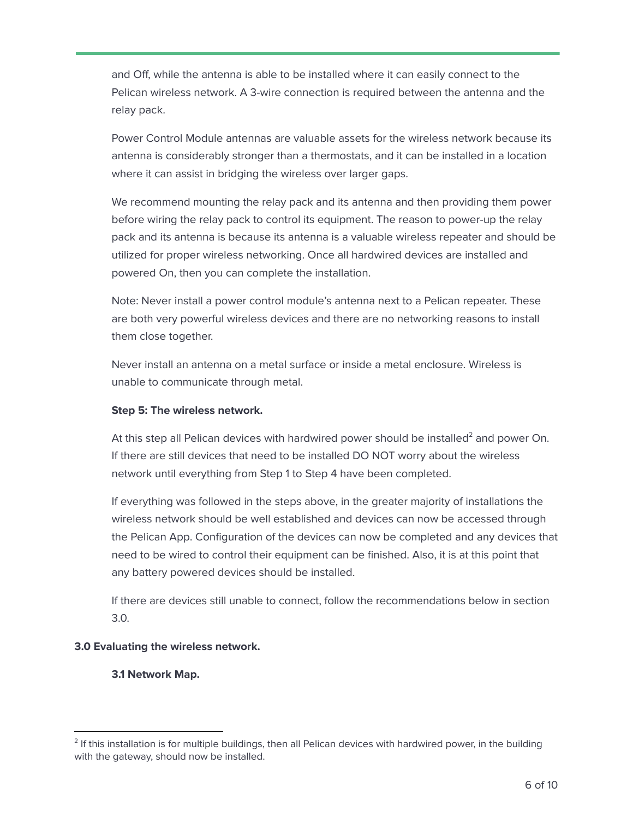and Off, while the antenna is able to be installed where it can easily connect to the Pelican wireless network. A 3-wire connection is required between the antenna and the relay pack.

Power Control Module antennas are valuable assets for the wireless network because its antenna is considerably stronger than a thermostats, and it can be installed in a location where it can assist in bridging the wireless over larger gaps.

We recommend mounting the relay pack and its antenna and then providing them power before wiring the relay pack to control its equipment. The reason to power-up the relay pack and its antenna is because its antenna is a valuable wireless repeater and should be utilized for proper wireless networking. Once all hardwired devices are installed and powered On, then you can complete the installation.

Note: Never install a power control module's antenna next to a Pelican repeater. These are both very powerful wireless devices and there are no networking reasons to install them close together.

Never install an antenna on a metal surface or inside a metal enclosure. Wireless is unable to communicate through metal.

# **Step 5: The wireless network.**

At this step all Pelican devices with hardwired power should be installed<sup>2</sup> and power On. If there are still devices that need to be installed DO NOT worry about the wireless network until everything from Step 1 to Step 4 have been completed.

If everything was followed in the steps above, in the greater majority of installations the wireless network should be well established and devices can now be accessed through the Pelican App. Configuration of the devices can now be completed and any devices that need to be wired to control their equipment can be finished. Also, it is at this point that any battery powered devices should be installed.

If there are devices still unable to connect, follow the recommendations below in section 3.0.

# **3.0 Evaluating the wireless network.**

# **3.1 Network Map.**

 $2$  If this installation is for multiple buildings, then all Pelican devices with hardwired power, in the building with the gateway, should now be installed.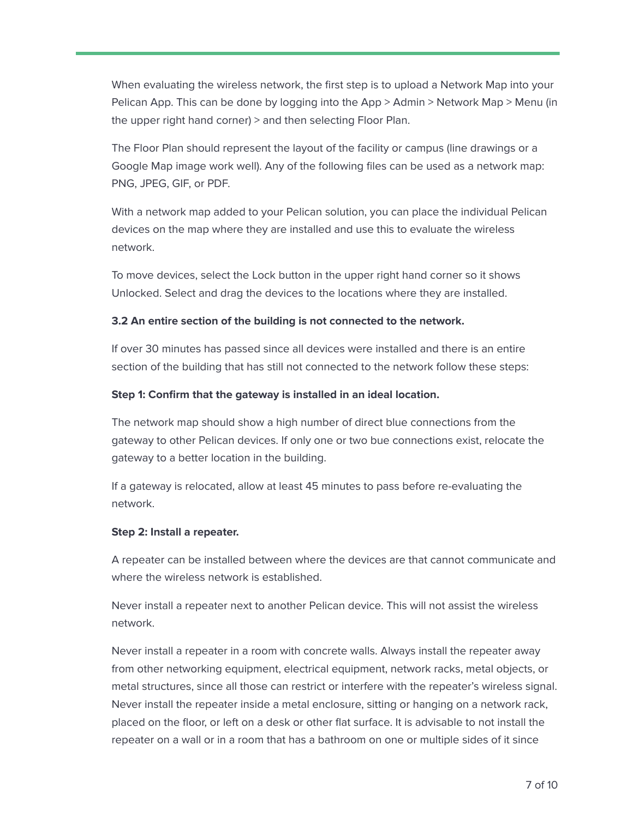When evaluating the wireless network, the first step is to upload a Network Map into your Pelican App. This can be done by logging into the App > Admin > Network Map > Menu (in the upper right hand corner) > and then selecting Floor Plan.

The Floor Plan should represent the layout of the facility or campus (line drawings or a Google Map image work well). Any of the following files can be used as a network map: PNG, JPEG, GIF, or PDF.

With a network map added to your Pelican solution, you can place the individual Pelican devices on the map where they are installed and use this to evaluate the wireless network.

To move devices, select the Lock button in the upper right hand corner so it shows Unlocked. Select and drag the devices to the locations where they are installed.

# **3.2 An entire section of the building is not connected to the network.**

If over 30 minutes has passed since all devices were installed and there is an entire section of the building that has still not connected to the network follow these steps:

#### **Step 1: Confirm that the gateway is installed in an ideal location.**

The network map should show a high number of direct blue connections from the gateway to other Pelican devices. If only one or two bue connections exist, relocate the gateway to a better location in the building.

If a gateway is relocated, allow at least 45 minutes to pass before re-evaluating the network.

#### **Step 2: Install a repeater.**

A repeater can be installed between where the devices are that cannot communicate and where the wireless network is established.

Never install a repeater next to another Pelican device. This will not assist the wireless network.

Never install a repeater in a room with concrete walls. Always install the repeater away from other networking equipment, electrical equipment, network racks, metal objects, or metal structures, since all those can restrict or interfere with the repeater's wireless signal. Never install the repeater inside a metal enclosure, sitting or hanging on a network rack, placed on the floor, or left on a desk or other flat surface. It is advisable to not install the repeater on a wall or in a room that has a bathroom on one or multiple sides of it since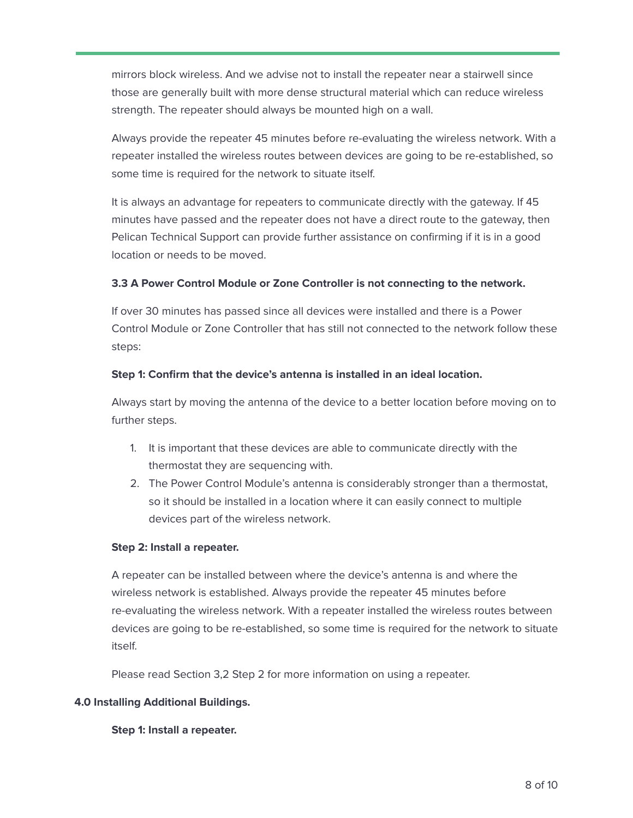mirrors block wireless. And we advise not to install the repeater near a stairwell since those are generally built with more dense structural material which can reduce wireless strength. The repeater should always be mounted high on a wall.

Always provide the repeater 45 minutes before re-evaluating the wireless network. With a repeater installed the wireless routes between devices are going to be re-established, so some time is required for the network to situate itself.

It is always an advantage for repeaters to communicate directly with the gateway. If 45 minutes have passed and the repeater does not have a direct route to the gateway, then Pelican Technical Support can provide further assistance on confirming if it is in a good location or needs to be moved.

#### **3.3 A Power Control Module or Zone Controller is not connecting to the network.**

If over 30 minutes has passed since all devices were installed and there is a Power Control Module or Zone Controller that has still not connected to the network follow these steps:

#### **Step 1: Confirm that the device's antenna is installed in an ideal location.**

Always start by moving the antenna of the device to a better location before moving on to further steps.

- 1. It is important that these devices are able to communicate directly with the thermostat they are sequencing with.
- 2. The Power Control Module's antenna is considerably stronger than a thermostat, so it should be installed in a location where it can easily connect to multiple devices part of the wireless network.

#### **Step 2: Install a repeater.**

A repeater can be installed between where the device's antenna is and where the wireless network is established. Always provide the repeater 45 minutes before re-evaluating the wireless network. With a repeater installed the wireless routes between devices are going to be re-established, so some time is required for the network to situate itself.

Please read Section 3,2 Step 2 for more information on using a repeater.

# **4.0 Installing Additional Buildings.**

**Step 1: Install a repeater.**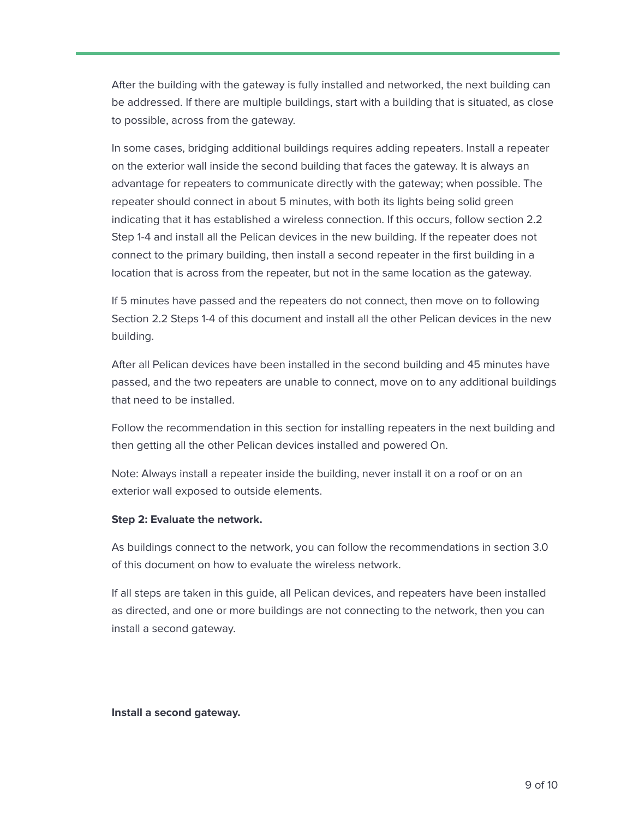After the building with the gateway is fully installed and networked, the next building can be addressed. If there are multiple buildings, start with a building that is situated, as close to possible, across from the gateway.

In some cases, bridging additional buildings requires adding repeaters. Install a repeater on the exterior wall inside the second building that faces the gateway. It is always an advantage for repeaters to communicate directly with the gateway; when possible. The repeater should connect in about 5 minutes, with both its lights being solid green indicating that it has established a wireless connection. If this occurs, follow section 2.2 Step 1-4 and install all the Pelican devices in the new building. If the repeater does not connect to the primary building, then install a second repeater in the first building in a location that is across from the repeater, but not in the same location as the gateway.

If 5 minutes have passed and the repeaters do not connect, then move on to following Section 2.2 Steps 1-4 of this document and install all the other Pelican devices in the new building.

After all Pelican devices have been installed in the second building and 45 minutes have passed, and the two repeaters are unable to connect, move on to any additional buildings that need to be installed.

Follow the recommendation in this section for installing repeaters in the next building and then getting all the other Pelican devices installed and powered On.

Note: Always install a repeater inside the building, never install it on a roof or on an exterior wall exposed to outside elements.

#### **Step 2: Evaluate the network.**

As buildings connect to the network, you can follow the recommendations in section 3.0 of this document on how to evaluate the wireless network.

If all steps are taken in this guide, all Pelican devices, and repeaters have been installed as directed, and one or more buildings are not connecting to the network, then you can install a second gateway.

**Install a second gateway.**